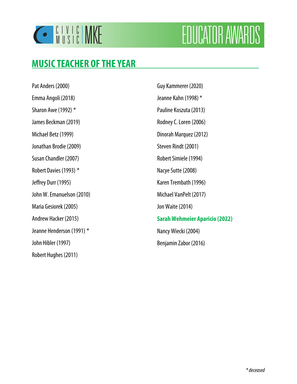

# **FOUCATOR AWARDS**

## **MUSICTEACHER OF THE YEAR**

Pat Anders (2000) Emma Angoli (2018) Sharon Awe (1992) \* James Beckman (2019) Michael Betz (1999) Jonathan Brodie (2009) Susan Chandler (2007) Robert Davies (1993) \* Jeffrey Durr (1995) John W. Emanuelson (2010) Maria Gesiorek (2005) Andrew Hacker (2015) Jeanne Henderson (1991) \* John Hibler (1997) Robert Hughes (2011)

Guy Kammerer (2020) Jeanne Kahn (1998) \* Pauline Koszuta (2013) Rodney C. Loren (2006) Dinorah Marquez (2012) Steven Rindt (2001) Robert Simiele (1994) Nacye Sutte (2008) Karen Trembath (1996) Michael VanPelt (2017) Jon Waite (2014) **Sarah Wehmeier Aparicio (2022)**  Nancy Wiecki (2004) Benjamin Zabor (2016)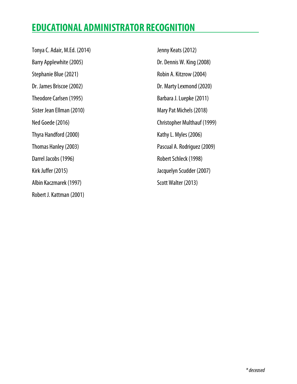## **EDUCATIONAL ADMINISTRATOR RECOGNITION**

Tonya C. Adair, M.Ed. (2014) Barry Applewhite (2005) Stephanie Blue (2021) Dr. James Briscoe (2002) Theodore Carlsen (1995) Sister Jean Ellman (2010) Ned Goede (2016) Thyra Handford (2000) Thomas Hanley (2003) Darrel Jacobs (1996) Kirk Juffer (2015) Albin Kaczmarek (1997) Robert J. Kattman (2001)

Jenny Keats (2012) Dr. Dennis W. King (2008) Robin A. Kitzrow (2004) Dr. Marty Lexmond (2020) Barbara J. Luepke (2011) Mary Pat Michels (2018) Christopher Multhauf (1999) Kathy L. Myles (2006) Pascual A. Rodriguez (2009) Robert Schleck (1998) Jacquelyn Scudder (2007) Scott Walter (2013)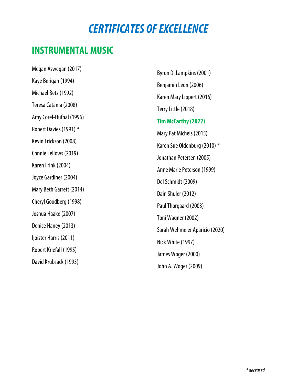## **CERTIFICATES OF EXCELLENCE**

## **INSTRUMENTAL MUSIC**

Megan Aswegan (2017) Kaye Berigan (1994) Michael Betz (1992) Teresa Catania (2008) Amy Corel-Hufnal (1996) Robert Davies (1991) \* Kevin Erickson (2008) Connie Fellows (2019) Karen Frink (2004) Joyce Gardiner (2004) Mary Beth Garrett (2014) Cheryl Goodberg (1998) Joshua Haake (2007) Denice Haney (2013) Ijoister Harris (2011) Robert Kriefall (1995) David Krubsack (1993)

Byron D. Lampkins (2001) Benjamin Leon (2006) Karen Mary Lippert (2016) Terry Little (2018) **Tim McCarthy (2022)**  Mary Pat Michels (2015) Karen Sue Oldenburg (2010) \* Jonathan Petersen (2005) Anne Marie Peterson (1999) Del Schmidt (2009) Dain Shuler (2012) Paul Thorgaard (2003) Toni Wagner (2002) Sarah Wehmeier Aparicio (2020) Nick White (1997) James Woger (2000) John A. Woger (2009)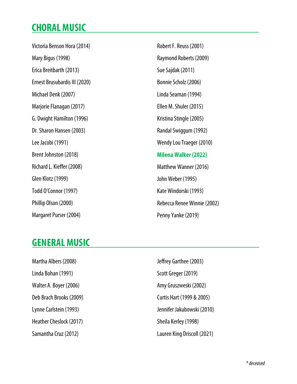## **CHORAL MUSIC**

Victoria Benson Hora (2014) Mary Bigus (1998) Erica Breitbarth (2013) Ernest Brusubardis III (2020) Michael Denk (2007) Marjorie Flanagan (2017) G. Dwight Hamilton (1996) Dr. Sharon Hansen (2003) Lee Jacobi (1991) Brent Johnston (2018) Richard L. Kieffer (2008) Glen Klotz (1999) Todd O'Connor (1997) Phillip Olson (2000) Margaret Purser (2004)

Robert F. Reuss (2001) Raymond Roberts (2009) Sue Sajdak (2011) Bonnie Scholz (2006) Linda Seaman (1994) Ellen M. Shuler (2015) Kristina Stingle (2005) Randal Swiggum (1992) Wendy Lou Traeger (2010) **Milena Walker (2022)**  Matthew Wanner (2016) John Weber (1995) Kate Windorski (1993) Rebecca Renee Winnie (2002) Penny Yanke (2019)

## **GENERAL MUSIC**

Martha Albers (2008) Linda Bohan (1991) Walter A. Boyer (2006) Deb Brach Brooks (2009) Lynne Carlstein (1993) Heather Cheslock (2017) Samantha Cruz (2012)

Jeffrey Garthee (2003) Scott Greger (2019) Amy Gruszweski (2002) Curtis Hart (1999 & 2005) Jennifer Jakubowski (2010) Sheila Kerley (1998) Lauren King Driscoll (2021)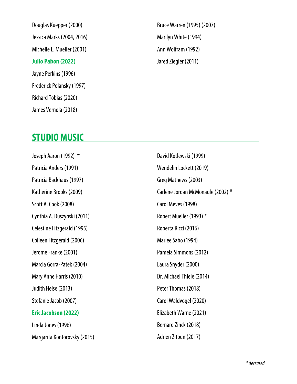Douglas Kuepper (2000) Jessica Marks (2004, 2016) Michelle L. Mueller (2001) **Julio Pabon (2022)**  Jayne Perkins (1996) Frederick Polansky (1997) Richard Tobias (2020) James Vernola (2018)

Bruce Warren (1995) (2007) Marilyn White (1994) Ann Wolfram (1992) Jared Ziegler (2011)

### **STUDIO MUSIC**

Joseph Aaron (1992) \* Patricia Anders (1991) Patricia Backhaus (1997) Katherine Brooks (2009) Scott A. Cook (2008) Cynthia A. Duszynski (2011) Celestine Fitzgerald (1995) Colleen Fitzgerald (2006) Jerome Franke (2001) Marcia Gorra-Patek (2004) Mary Anne Harris (2010) Judith Heise (2013) Stefanie Jacob (2007) **Eric Jacobson (2022)**  Linda Jones (1996) Margarita Kontorovsky (2015)

David Kotlewski (1999) Wendelin Lockett (2019) Greg Mathews (2003) Carlene Jordan McMonagle (2002) \* Carol Meves (1998) Robert Mueller (1993) \* Roberta Ricci (2016) Marlee Sabo (1994) Pamela Simmons (2012) Laura Snyder (2000) Dr. Michael Thiele (2014) Peter Thomas (2018) Carol Waldvogel (2020) Elizabeth Warne (2021) Bernard Zinck (2018) Adrien Zitoun (2017)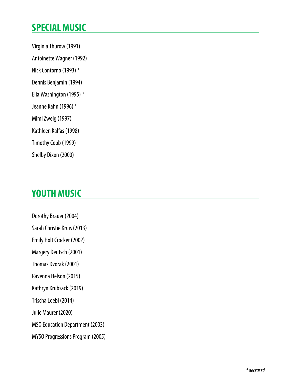## **SPECIAL MUSIC**

- Virginia Thurow (1991)
- Antoinette Wagner (1992)
- Nick Contorno (1993) \*
- Dennis Benjamin (1994)
- Ella Washington (1995) \*
- Jeanne Kahn (1996) \*
- Mimi Zweig (1997)
- Kathleen Kalfas (1998)
- Timothy Cobb (1999)
- Shelby Dixon (2000)

## **YOUTH MUSIC**

Dorothy Brauer (2004) Sarah Christie Kruis (2013) Emily Holt Crocker (2002) Margery Deutsch (2001) Thomas Dvorak (2001) Ravenna Helson (2015) Kathryn Krubsack (2019) Trischa Loebl (2014) Julie Maurer (2020) MSO Education Department (2003) MYSO Progressions Program (2005)